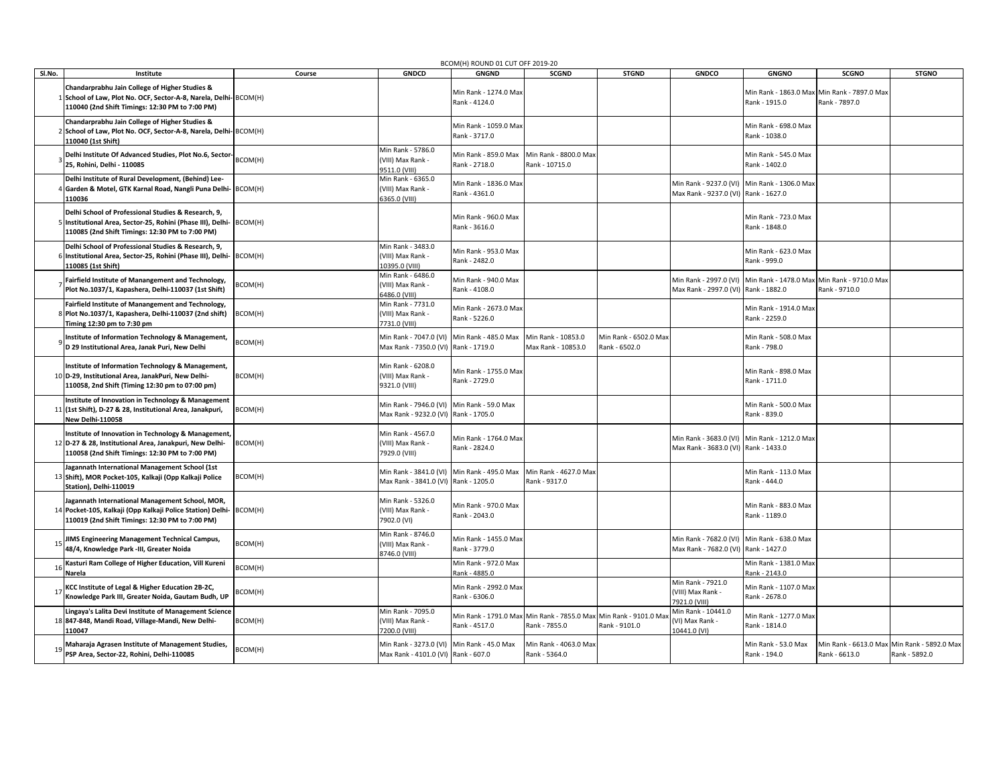|        | BCOM(H) ROUND 01 CUT OFF 2019-20                                                                                                                                              |         |                                                                                   |                                        |                                                              |                                        |                                                                                      |                                        |                                                              |                                                              |
|--------|-------------------------------------------------------------------------------------------------------------------------------------------------------------------------------|---------|-----------------------------------------------------------------------------------|----------------------------------------|--------------------------------------------------------------|----------------------------------------|--------------------------------------------------------------------------------------|----------------------------------------|--------------------------------------------------------------|--------------------------------------------------------------|
| Sl.No. | Institute                                                                                                                                                                     | Course  | <b>GNDCD</b>                                                                      | <b>GNGND</b>                           | <b>SCGND</b>                                                 | <b>STGND</b>                           | <b>GNDCO</b>                                                                         | <b>GNGNO</b>                           | <b>SCGNO</b>                                                 | <b>STGNO</b>                                                 |
|        | Chandarprabhu Jain College of Higher Studies &<br>1 School of Law, Plot No. OCF, Sector-A-8, Narela, Delhi- BCOM(H)<br>110040 (2nd Shift Timings: 12:30 PM to 7:00 PM)        |         |                                                                                   | Min Rank - 1274.0 Max<br>Rank - 4124.0 |                                                              |                                        |                                                                                      | Rank - 1915.0                          | Min Rank - 1863.0 Max Min Rank - 7897.0 Max<br>Rank - 7897.0 |                                                              |
|        | Chandarprabhu Jain College of Higher Studies &<br>School of Law, Plot No. OCF, Sector-A-8, Narela, Delhi-BCOM(H)<br>110040 (1st Shift)                                        |         |                                                                                   | Min Rank - 1059.0 Max<br>Rank - 3717.0 |                                                              |                                        |                                                                                      | Min Rank - 698.0 Max<br>Rank - 1038.0  |                                                              |                                                              |
|        | Delhi Institute Of Advanced Studies, Plot No.6, Sector- BCOM(H)<br>25. Rohini. Delhi - 110085                                                                                 |         | Min Rank - 5786.0<br>(VIII) Max Rank -<br>9511.0 (VIII)                           | Min Rank - 859.0 Max<br>Rank - 2718.0  | Min Rank - 8800.0 Max<br>Rank - 10715.0                      |                                        |                                                                                      | Min Rank - 545.0 Max<br>Rank - 1402.0  |                                                              |                                                              |
|        | Delhi Institute of Rural Development, (Behind) Lee-<br>Garden & Motel, GTK Karnal Road, Nangli Puna Delhi- BCOM(H)<br>110036                                                  |         | Min Rank - 6365.0<br>VIII) Max Rank -<br>6365.0 (VIII)                            | Min Rank - 1836.0 Max<br>Rank - 4361.0 |                                                              |                                        | Min Rank - 9237.0 (VI)<br>Max Rank - 9237.0 (VI) Rank - 1627.0                       | Min Rank - 1306.0 Max                  |                                                              |                                                              |
|        | Delhi School of Professional Studies & Research, 9,<br>5 Institutional Area, Sector-25, Rohini (Phase III), Delhi- BCOM(H)<br>110085 (2nd Shift Timings: 12:30 PM to 7:00 PM) |         |                                                                                   | Min Rank - 960.0 Max<br>Rank - 3616.0  |                                                              |                                        |                                                                                      | Min Rank - 723.0 Max<br>Rank - 1848.0  |                                                              |                                                              |
|        | Delhi School of Professional Studies & Research, 9,<br>6 Institutional Area, Sector-25, Rohini (Phase III), Delhi- BCOM(H)<br>110085 (1st Shift)                              |         | Min Rank - 3483.0<br>(VIII) Max Rank -<br>(0395.0 (VIII)                          | Min Rank - 953.0 Max<br>Rank - 2482.0  |                                                              |                                        |                                                                                      | Min Rank - 623.0 Max<br>Rank - 999.0   |                                                              |                                                              |
|        | Fairfield Institute of Manangement and Technology,<br>Plot No.1037/1, Kapashera, Delhi-110037 (1st Shift)                                                                     | BCOM(H) | Min Rank - 6486.0<br>(VIII) Max Rank -<br>6486.0 (VIII)                           | Min Rank - 940.0 Max<br>Rank - 4108.0  |                                                              |                                        | Min Rank - 2997.0 (VI)<br>Max Rank - 2997.0 (VI)                                     | Rank - 1882.0                          | Min Rank - 1478.0 Max Min Rank - 9710.0 Max<br>Rank - 9710.0 |                                                              |
|        | Fairfield Institute of Manangement and Technology,<br>8 Plot No.1037/1, Kapashera, Delhi-110037 (2nd shift)<br>Timing 12:30 pm to 7:30 pm                                     | BCOM(H) | Min Rank - 7731.0<br>VIII) Max Rank -<br>7731.0 (VIII)                            | Min Rank - 2673.0 Max<br>Rank - 5226.0 |                                                              |                                        |                                                                                      | Min Rank - 1914.0 Max<br>Rank - 2259.0 |                                                              |                                                              |
|        | Institute of Information Technology & Management,<br>D 29 Institutional Area, Janak Puri, New Delhi                                                                           | BCOM(H) | Min Rank - 7047.0 (VI)<br>Max Rank - 7350.0 (VI) Rank - 1719.0                    | Min Rank - 485.0 Max                   | Min Rank - 10853.0<br>Max Rank - 10853.0                     | Min Rank - 6502.0 Max<br>Rank - 6502.0 |                                                                                      | Min Rank - 508.0 Max<br>Rank - 798.0   |                                                              |                                                              |
|        | Institute of Information Technology & Management,<br>10 D-29, Institutional Area, JanakPuri, New Delhi-<br>110058, 2nd Shift (Timing 12:30 pm to 07:00 pm)                    | BCOM(H) | Min Rank - 6208.0<br>(VIII) Max Rank -<br>9321.0 (VIII)                           | Min Rank - 1755.0 Max<br>Rank - 2729.0 |                                                              |                                        |                                                                                      | Min Rank - 898.0 Max<br>Rank - 1711.0  |                                                              |                                                              |
|        | Institute of Innovation in Technology & Management<br>11 (1st Shift), D-27 & 28, Institutional Area, Janakpuri,<br>New Delhi-110058                                           | BCOM(H) | Min Rank - 7946.0 (VI)<br>Max Rank - 9232.0 (VI) Rank - 1705.0                    | Min Rank - 59.0 Max                    |                                                              |                                        |                                                                                      | Min Rank - 500.0 Max<br>Rank - 839.0   |                                                              |                                                              |
|        | Institute of Innovation in Technology & Management,<br>12 D-27 & 28, Institutional Area, Janakpuri, New Delhi-<br>110058 (2nd Shift Timings: 12:30 PM to 7:00 PM)             | BCOM(H) | Min Rank - 4567.0<br>(VIII) Max Rank -<br>7929.0 (VIII)                           | Min Rank - 1764.0 Max<br>Rank - 2824.0 |                                                              |                                        | Min Rank - 3683.0 (VI) Min Rank - 1212.0 Max<br>Max Rank - 3683.0 (VI) Rank - 1433.0 |                                        |                                                              |                                                              |
|        | Jagannath International Management School (1st<br>13 Shift), MOR Pocket-105, Kalkaji (Opp Kalkaji Police<br>Station), Delhi-110019                                            | BCOM(H) | Min Rank - 3841.0 (VI)<br>Max Rank - 3841.0 (VI) Rank - 1205.0                    | Min Rank - 495.0 Max                   | Min Rank - 4627.0 Max<br>Rank - 9317.0                       |                                        |                                                                                      | Min Rank - 113.0 Max<br>Rank - 444.0   |                                                              |                                                              |
|        | Jagannath International Management School, MOR,<br>14 Pocket-105, Kalkaji (Opp Kalkaji Police Station) Delhi- BCOM(H)<br>110019 (2nd Shift Timings: 12:30 PM to 7:00 PM)      |         | Min Rank - 5326.0<br>(VIII) Max Rank -<br>7902.0 (VI)                             | Min Rank - 970.0 Max<br>Rank - 2043.0  |                                                              |                                        |                                                                                      | Min Rank - 883.0 Max<br>Rank - 1189.0  |                                                              |                                                              |
|        | <b>JIMS Engineering Management Technical Campus,</b><br>48/4, Knowledge Park -III, Greater Noida                                                                              | BCOM(H) | Min Rank - 8746.0<br>(VIII) Max Rank -<br>3746.0 (VIII)                           | Min Rank - 1455.0 Max<br>Rank - 3779.0 |                                                              |                                        | Min Rank - 7682.0 (VI)<br>Max Rank - 7682.0 (VI)                                     | Min Rank - 638.0 Max<br>Rank - 1427.0  |                                                              |                                                              |
|        | Kasturi Ram College of Higher Education, Vill Kureni<br>Narela                                                                                                                | BCOM(H) |                                                                                   | Min Rank - 972.0 Max<br>Rank - 4885.0  |                                                              |                                        |                                                                                      | Min Rank - 1381.0 Max<br>ank - 2143.0  |                                                              |                                                              |
|        | KCC Institute of Legal & Higher Education 2B-2C,<br>Knowledge Park III, Greater Noida, Gautam Budh, UP                                                                        | BCOM(H) |                                                                                   | Min Rank - 2992.0 Max<br>Rank - 6306.0 |                                                              |                                        | Min Rank - 7921.0<br>(VIII) Max Rank -<br>7921.0 (VIII)                              | Min Rank - 1107.0 Max<br>Rank - 2678.0 |                                                              |                                                              |
|        | Lingaya's Lalita Devi Institute of Management Science<br>18 847-848, Mandi Road, Village-Mandi, New Delhi-<br>110047                                                          | BCOM(H) | Min Rank - 7095.0<br>(VIII) Max Rank -<br>200.0 (VIII)                            | Rank - 4517.0                          | Min Rank - 1791.0 Max Min Rank - 7855.0 Max<br>Rank - 7855.0 | Min Rank - 9101.0 Max<br>Rank - 9101.0 | Min Rank - 10441.0<br>(VI) Max Rank -<br>10441.0 (VI)                                | Min Rank - 1277.0 Max<br>Rank - 1814.0 |                                                              |                                                              |
|        | Maharaja Agrasen Institute of Management Studies,<br>PSP Area, Sector-22, Rohini, Delhi-110085                                                                                | BCOM(H) | Min Rank - 3273.0 (VI) Min Rank - 45.0 Max<br>Max Rank - 4101.0 (VI) Rank - 607.0 |                                        | Min Rank - 4063.0 Max<br>Rank - 5364.0                       |                                        |                                                                                      | Min Rank - 53.0 Max<br>Rank - 194.0    | Rank - 6613.0                                                | Min Rank - 6613.0 Max Min Rank - 5892.0 Max<br>Rank - 5892.0 |